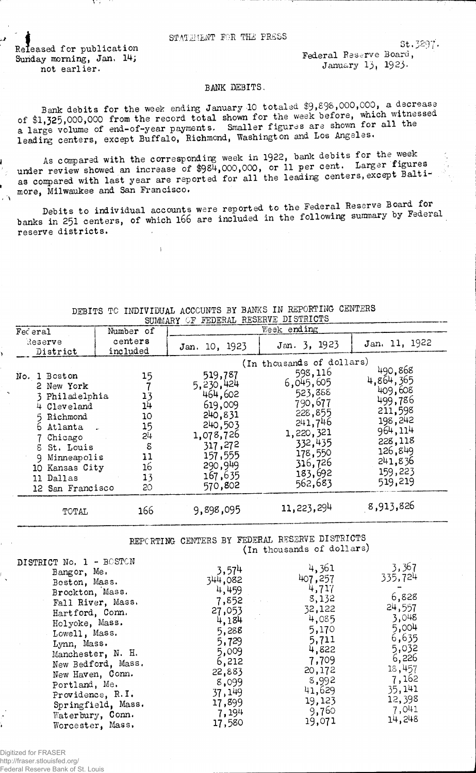## STATEMENT FOR THE PRESS

Released for publication Sunday morning, Jan. 14; not earlier.

Federal Reserve Board, January 13, 1923.

## BANK DEBITS.

Bank debits for the week ending January 10 totaled \$9,898,000,000, a decrease of \$1,325,000,000 from the record total shown for the week before, which witnessed<br>a large volume of end-of-year payments. Smaller figures are shown for all the leading centers, except Buffalo, Richmond, Washington and Los Angeles.

As compared with the corresponding week in 1922, bank debits for the week under review showed an increase of \$984,000,000, or 11 per cent. Larger figures as compared with last year are reported for all the leading centers, except Baltimore, Milwaukee and San Francisco.

Debits to individual accounts were reported to the Federal Reserve Board for banks in 251 centers, of which 166 are included in the following summary by Federal reserve districts.

| Number of<br>Federal                                                                                                                                                                                |                                                               | Week ending                                                                                                                            |                                                                                                                                                                   |                                                                                                                                     |  |  |
|-----------------------------------------------------------------------------------------------------------------------------------------------------------------------------------------------------|---------------------------------------------------------------|----------------------------------------------------------------------------------------------------------------------------------------|-------------------------------------------------------------------------------------------------------------------------------------------------------------------|-------------------------------------------------------------------------------------------------------------------------------------|--|--|
| Reserve                                                                                                                                                                                             | centers<br>included                                           | Jan. 10, 1923                                                                                                                          | Jan. 3, 1923                                                                                                                                                      | Jan. 11, 1922                                                                                                                       |  |  |
| District<br>No. 1 Boston<br>2 New York<br>3 Philadelphia<br>4 Cleveland<br>Richmond<br>6 Atlanta -<br>Chicago<br>8 St. Louis<br>Minneapolis<br>9<br>10 Kansas City<br>11 Dallas<br>12 San Francisco | 15<br>13<br>14<br>10<br>15<br>54<br>8<br>11<br>16<br>13<br>20 | 519,787<br>5, 230, 424<br>464,602<br>619,009<br>240,831<br>240,503<br>1,078,726<br>317,272<br>157,555<br>290,949<br>167,635<br>570,802 | (In thousands of dollars)<br>598,116<br>6,045,605<br>523,888<br>790,677<br>228,855<br>241,746<br>1,220,321<br>332,435<br>178,550<br>316,726<br>183,692<br>562,683 | 490,868<br>4,864,365<br>409,608<br>499,786<br>211,598<br>198,242<br>964,114<br>228,118<br>126, 849<br>241,836<br>159,223<br>519,219 |  |  |
| TOTAL                                                                                                                                                                                               | 166                                                           | 9,898,095                                                                                                                              | 11, 223, 294                                                                                                                                                      | 8,913,826                                                                                                                           |  |  |

DEBITS TO INDIVIDUAL ACCOUNTS BY BANKS IN REPORTING CENTERS SUMMARY OF FEDERAL RESERVE DISTRICTS

> REPORTING CENTERS BY FEDERAL RESERVE DISTRICTS (In thousands of dollars)

| 32,122 | 24,557 |
|--------|--------|
| 4,085  | 3,048  |
| 5,170  | 5,004  |
| 5,711  | 6,635  |
| 4,822  | 5,032  |
| 7,709  | 6,226  |
| 20,172 | 18,457 |
| 8,992  | 7,162  |
| 41,629 | 35,141 |
| 19,123 | 12,398 |
| 9,760  | 7,041  |
| 19,071 | 14,248 |
|        | 8,132  |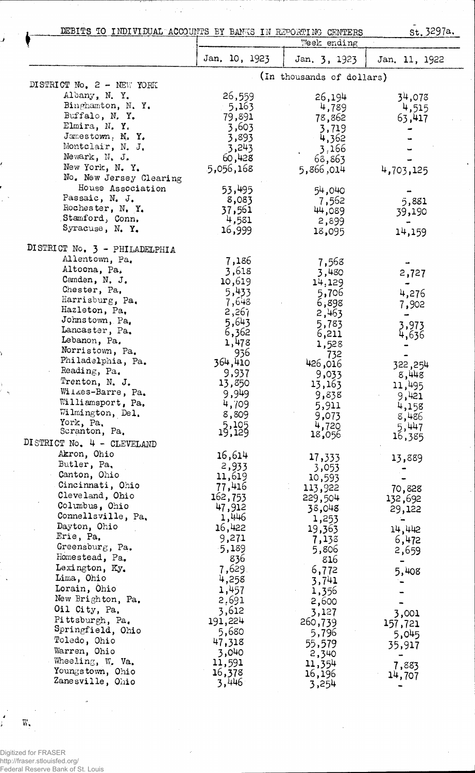DEBITS TO INDIVIDUAL ACCOUNTS BY BANKS IN REPORTING CENTERS

 $\mathcal{A}_1$  $\mathcal{L}_{\text{in}}$ 

त्रस

 $\hat{\mathcal{L}}$ 

राजा का सा

Ĵ

ł

l,

 $\frac{1}{2}$ 

 $\sim$ 

 $\mathbb{Z}/2$ 

st. 3297a.

 $\hat{\mathcal{A}}$ 

 $\hat{\mathcal{A}}$ 

 $\bar{\beta}$ 

| DEBITS TO INDIVIDUAL ACCOUNTS BY BANKS IN REPORTING CENTERS |                   | Week ending               | St. 5291a.    |
|-------------------------------------------------------------|-------------------|---------------------------|---------------|
|                                                             | Jan. 10, 1923     | Jan. 3, 1923              | Jan. 11, 1922 |
| DISTRICT No. 2 - NEW YORK                                   |                   | (In thousands of dollars) |               |
| Albany, N.Y.                                                |                   |                           |               |
|                                                             | 26,559            | 26,194                    | 34,078        |
| Binghamton, N.Y.                                            | 5,163             | 4,789                     | 4,515         |
| Buffalo, N.Y.                                               | 79,891            | 78,862                    | 63,417        |
| Elmira, N.Y.                                                | 3,603             | 3,719                     |               |
| Jamestown, N.Y.                                             | 3,893             | 4,362                     |               |
| Montclair, N. J.                                            | 3,243             | 3,166                     |               |
| Newark, N. J.                                               | 60,428            | 68,863                    |               |
| New York, N. Y.                                             | 5,056,168         | 5,866,014                 | 4,703,125     |
| No. New Jersey Clearing                                     |                   |                           |               |
| House Association                                           | 53,495            | 54,040                    |               |
| Passaic, N. J.                                              | 8,083             | 7,562                     | 5,881         |
| Rochester, N.Y.                                             | 37,561            | 44,089                    | 39,190        |
| Stamford, Conn.                                             | 4,581             | 2,899                     |               |
| Syracuse, N.Y.                                              | 16,999            | 18,095                    | 14,159        |
| DISTRICT No. 3 - PHILADELPHIA                               |                   |                           |               |
| Allentown, Pa,                                              | 7,186             | 7,568                     |               |
| Altoona, Pa,                                                | 3,618             | 3,480                     | 2,727         |
| Camden, N. J.                                               | 10,619            | 14,129                    |               |
| Chester, Pa,                                                | 5,433             | 5,706                     | 4,276         |
| Harrisburg, Pa.                                             | 7,648             | 6,898                     | 7,902         |
| Hazleton, Pa,                                               | 2,267             | 2,463                     |               |
| Johnstown, Pa,                                              | 5,643             | 5,783                     | 3,973         |
| Lancaster, Pa.                                              | 6,362             | 6,211                     | 4,636         |
| Lebanon, Pa.                                                | 1,478             | 1,528                     |               |
| Norristown, Pa.                                             | 936               | 732                       |               |
| Philadelphia, Pa.                                           | 364,410           | 426,016                   | 322, 254      |
| Reading, Pa.                                                | 9,937             | 9,033                     | 8,448         |
| Trenton, N. J.                                              | 13,850            | 13,163                    | 11,495        |
| Wilkes-Barre, Pa.                                           | 9,949             | 9,838                     | 9,421         |
| Williamsport, Pa.                                           | 4,709             | 5,911                     | 4,158         |
| Wilmington, Del.                                            | 8,809             | 9,073                     | 8,486         |
| York, Pa.                                                   | $15,105$<br>$129$ | 4,720                     | 5,447         |
| Scranton, Pa.                                               |                   | 18,056                    | 16,385        |
| DISTRICT No. $4$ - CLEVELAND                                |                   |                           |               |
| Akron, Ohio                                                 | 16,614            | 17,333                    | 13,889        |
| Butler, Pa.                                                 | 2,933             | 3,053                     |               |
| Canton, Ohio                                                | 11,619            | 10,593                    |               |
| Cincinnati, Ohio                                            | 77,416            | 113,922                   | 70,828        |
| Cleveland, Ohio                                             | 162,753           | 229,504                   | 132,692       |
| Columbus, Ohio                                              | 47,912            | 38,048                    | 29,122        |
| Connellsville, Pa.                                          | 1,446             | 1,253                     | ⊸             |
| Dayton, Ohio                                                | 16,422            | 19,363                    | 14,442        |
| Erie, Pa.                                                   | 9,271             | 7,138                     | 6,472         |
| Greensburg, Pa.                                             | 5,189             | 5,806                     | 2,659         |
| Homestead, Pa.                                              | 836               | 816                       | -             |
| Lexington, Ky.                                              | 7,629.            | 6,772                     | 5,408         |
| Lima, Ohio                                                  | 4,258             | 3,741                     |               |
| Lorain, Ohio                                                | 1,457             | 1,356                     |               |
| New Brighton, Pa.                                           | 2,691             | 2,600                     |               |
| Oil City, Pa.                                               | 3,612             | 3,127                     |               |
| Pittsburgh, Pa.                                             | 191,224           | 260,739                   | 3,001         |
| Springfield, Ohio                                           | 5,680             |                           | 157,721       |
| Toledo, Ohio                                                | 47,318            | 5,796                     | 5,045         |
| Warren, Ohio                                                | 3,040             | 55,579                    | 35,917        |
| Wheeling, W. Va.                                            | 11,591            | 2,340                     |               |
| Youngstown, Ohio                                            | 16,378            | 11,354                    | 7,883         |
| Zanesville, Ohio                                            | 3,446             | 16,196                    | 14,707        |
|                                                             |                   | 3,254                     |               |

Digitized for FRASER http://fraser.stlouisfed.org/ Federal Reserve Bank of St. Louis

 $\pmb{\lambda}$ 

Ĺ.

 $\overline{\mathbf{W}}_\bullet$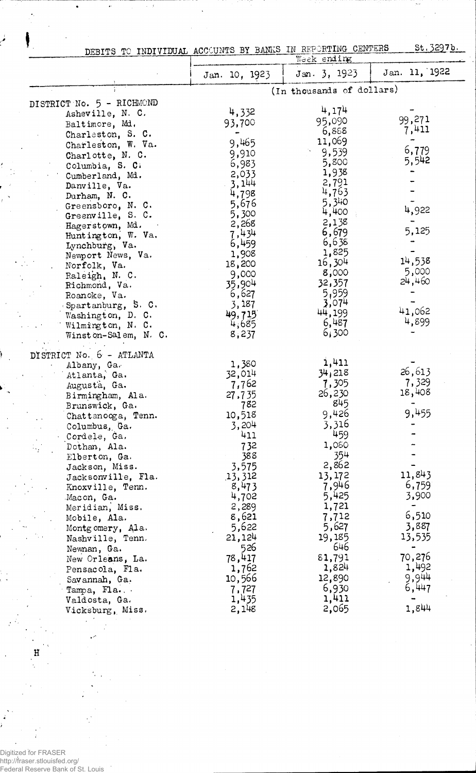| Ţ.                        | St. 3297b.<br>DEBITS TO INDIVIDUAL ACCOUNTS BY BANKS IN REPORTING CENTERS<br>Week ending |                           |               |  |
|---------------------------|------------------------------------------------------------------------------------------|---------------------------|---------------|--|
|                           | Jan. 10, 1923                                                                            | Jan. 3, 1923              | Jan. 11, 1922 |  |
|                           |                                                                                          | (In thousands of dollars) |               |  |
| DISTRICT No. 5 - RICHMOND |                                                                                          | 4,174                     |               |  |
| Asheville, N. C.          | 4,332                                                                                    |                           | 99,271        |  |
| Baltimore, Md.            | 93,700                                                                                   | 95,090                    |               |  |
| Charleston, S. C.         |                                                                                          | 6,888                     | 7,411         |  |
| Charleston, W. Va.        | 9,465                                                                                    | 11,069                    |               |  |
| Charlotte, N. C.          | 9,910                                                                                    | 9,539                     | 6,779         |  |
| Columbia, S. C.           | 6,983                                                                                    | 5,800                     | 5,542         |  |
| Cumberland, Md.           | 2,033                                                                                    | 1,938                     |               |  |
| Danville, Va.             | 3,144                                                                                    | 2,791                     |               |  |
| Durham, N. C.             | 4,798                                                                                    | 4,763                     |               |  |
| Greensboro, N. C.         | 5,676                                                                                    | 5,340                     |               |  |
| Greenville, S. C.         | 5,300                                                                                    | 4,400                     | 4,922         |  |
| Hagerstown, Md.           | 2,268                                                                                    | 2,138                     |               |  |
| Huntington, W. Va.        | 7,434                                                                                    | 6,679                     | 5,125         |  |
| Lynchburg, Va.            | 6,459                                                                                    | 6,638                     |               |  |
| Newport News, Va.         | 1,908                                                                                    | 1,825                     |               |  |
| Norfolk, Va.              | 18,200                                                                                   | 16,304                    | 14,538        |  |
| Raleigh, N. C.            | 9,000                                                                                    | 8,000                     | 5,000         |  |
| Richmond, Va.             | 35,904                                                                                   | 32,357                    | 24,460        |  |
| Roanoke, Va.              | 6,627                                                                                    | 5,959                     |               |  |
| Spartanburg, S. C.        | 3,187                                                                                    | 3,074                     |               |  |
| Washington, D. C.         | 49,715                                                                                   | 44,199                    | 41,062        |  |
| Wilmington, N. C.         | 4,685                                                                                    | 6,487                     | 4,899         |  |
| Winston-Salem, N. C.      | 8,237                                                                                    | 6,300                     |               |  |
|                           |                                                                                          |                           |               |  |
| DISTRICT No. 6 - ATLANTA  |                                                                                          |                           |               |  |
| Albany, Ga.               | 1,380                                                                                    | 1,411                     |               |  |
| Atlanta, Ga.              | 32,014                                                                                   | 34,218                    | 26,613        |  |
| Augusta, Ga.              | 7,762                                                                                    | 7,305                     | 7,329         |  |
| Birmingham, Ala.          | 27,735                                                                                   | 26,230                    | 18,408        |  |
| Brunswick, Ga.            | 782                                                                                      | 845                       |               |  |
| Chattanooga, Tenn.        | 10,518                                                                                   | 9,426                     | 9,455         |  |
| Columbus, Ga.             | 3,204                                                                                    | 3,316                     |               |  |
| Cordele, Ga.              | 411                                                                                      | 459                       |               |  |
| Dothan, Ala.              | 732                                                                                      | 1,080                     |               |  |
| Elberton, Ga.             | 388                                                                                      | 354                       |               |  |
| Jackson, Miss.            | 3,575                                                                                    | 2,862                     |               |  |
| Jacksonville, Fla.        | 13,312                                                                                   | 13,172                    | 11,843        |  |
| Knoxville, Tenn.          | 8,473                                                                                    | 7,946                     | 6,759         |  |
| Macon, Ga.                | 4,702                                                                                    | 5,425                     | 3,900         |  |
| Meridian, Miss.           | 2,289                                                                                    | 1,721                     |               |  |
| Mobile, Ala.              | 8,621                                                                                    | 7,712                     | 6,510         |  |
| Montgomery, Ala.          | 5,622                                                                                    | 5,627                     | 3,887         |  |
| Nashville, Tenn.          | 21,124                                                                                   | 19,185                    | 13,535        |  |
|                           | 526                                                                                      | 646                       |               |  |
| Newnan, Ga.               | 78,417                                                                                   | 81,791                    | 70,276        |  |
| New Orleans, La.          |                                                                                          | 1,824                     | 1,492         |  |
| Pensacola, Fla.           | 1,762                                                                                    | 12,890                    | 9,944         |  |
| Savannah, Ga.             | 10,566                                                                                   |                           | 6,447         |  |
| Tampa, Fla                | 7,727                                                                                    | 6,930                     |               |  |
| Valdosta, Ga.             | 1,435                                                                                    | 1,411                     | 1,844         |  |
| Vicksburg, Miss.          | 2,148                                                                                    | 2,065                     |               |  |

J.

i.

Digitized for FRASER http://fraser.stlouisfed.org/ Federal Reserve Bank of St. Louis

H

l.

 $\bar{ }$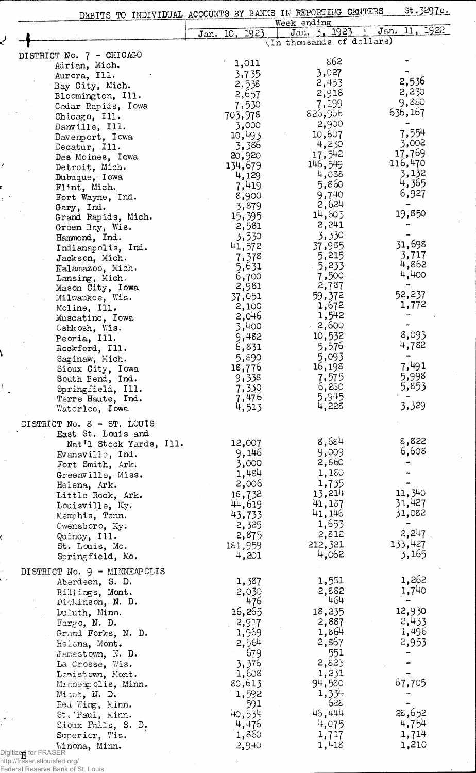| DEBITS TO INDIVIDUAL ACCOUNTS BY BANKS IN REPORTING CENTERS |                         | Week ending                               |                  |
|-------------------------------------------------------------|-------------------------|-------------------------------------------|------------------|
|                                                             | Jan. 10, 1923           | Jan. 3, 1923<br>(In thousands of dollars) | 11, 1922<br>Jan. |
|                                                             |                         |                                           |                  |
| DISTRICT No. 7 - CHICAGO<br>Adrian, Mich.                   | 1,011                   | 862                                       |                  |
| Aurora, Ill.                                                | 3,735                   | 3,027                                     |                  |
| Bay City, Mich.                                             | 2,538                   | 2,453                                     | 2,536            |
| Bloomington, Ill.                                           | 2,657                   | 2,918                                     | 2,230            |
| Cedar Rapids, Iowa                                          | 7,530                   | 7,199                                     | 9,880            |
| Chicago, Ill.                                               | 703,978                 | 826,966                                   | 636,167          |
| Danville, Ill.                                              | 3,000                   | 2,900                                     |                  |
| Davemport, Iowa                                             | 10,493                  | 10,807                                    | 7,554            |
| Decatur, Ill.                                               | 3,386                   | 4,230                                     | 3,002            |
| Des Moines, Iowa                                            | 20,920                  | 17,542                                    | 17,769           |
| Detroit, Mich.                                              | 134,679                 | 146,549                                   | 116,470          |
| Dubuque, I owa                                              | 4,129                   | 4,038                                     | 3,132<br>4,365   |
| Flint, Mich.                                                | 7,419                   | 5,860<br>9,740                            | 6,927            |
| Fort Wayne, Ind.                                            | 8,900                   | 2,624                                     |                  |
| Gary, Ind.                                                  | 3,879<br>15,395         | 14,603                                    | 19,850           |
| Grand Rapids, Mich.                                         | 2,581                   | 2,241                                     |                  |
| Green Bay, Wis.<br>Hammond, Ind.                            | 3,530                   | 3,330                                     |                  |
| Indianapolis, Ind.                                          | 41,572                  | 37,985                                    | 31,698           |
| Jackson, Mich.                                              | 7,378                   | 5,215                                     | 3,717            |
| Kalamazoo, Mich.                                            | 5,631                   | $-5,233$                                  | 4,862            |
| Lansing, Mich.                                              | 6,700                   | 7,500                                     | 4,400            |
| Mason City, Iowa                                            | 2,981                   | 2,737                                     |                  |
| Milwaukee, Wis.                                             | 37,051                  | 59,372                                    | 52,237           |
| Moline, Ill.                                                | 2,100                   | 1,672                                     | 1,772            |
| Muscatine, Iowa                                             | 2,046                   | 1,542                                     |                  |
| Cshkosh, Wis.                                               | 3,400                   | 2,600                                     |                  |
| Peoria, Ill.                                                | 9,482                   | 10,532                                    | 8,093            |
| Rockford, Ill.                                              | 6,831                   | 5,576                                     | 4,782            |
| Saginaw, Mich.                                              | 5,890                   | 5,093                                     | 7,491            |
| Sioux City, Iowa                                            | 18,776<br>9,338         | 16,198<br>7,575                           | 5,998            |
| South Bend, Ind.<br>Springfield, Ill.                       | 7,330                   | 6,250                                     | 5,853            |
| Terre Haute, Ind.                                           | 7,476                   |                                           |                  |
| Waterloo, Iowa                                              | 4,513                   | 5,945<br>4,228                            | 3,329            |
| DISTRICT No. 8 - ST. LOUIS                                  |                         |                                           |                  |
| East St. Louis and                                          |                         |                                           |                  |
| Nat'l Stock Yards, Ill.                                     | 12,007                  | 8,684                                     | 8,822            |
| Evansville, $Ind.$                                          | 9,146                   | 9,009                                     | 6,608            |
| Fort Smith, Ark.                                            | 3,000                   | 2,860                                     |                  |
| Greenville, Miss.                                           | 1,484                   | 1,150                                     |                  |
| Helena, Ark.                                                | 2,006                   | 1,735                                     |                  |
| Little Rock, Ark.                                           | 18,732                  | 13,214                                    | 11,340           |
| Louisville, Ky.                                             | 44,619                  | 41,137                                    | 31,427           |
| Memphis, Tenn.                                              | 43,733                  | 41,146                                    | 31,082           |
| Owensboro, Ky.                                              | 2,325                   | 1,653                                     | 2,247            |
| Quincy, Ill.                                                | 2,875                   | 2,812                                     | 133,427          |
| St. Louis, Mo.                                              | 181,959<br>4,201        | 212,321<br>4,062                          | 3,165            |
| Springfield, Mo.                                            |                         |                                           |                  |
| DISTRICT No. 9 - MINNEAPOLIS                                |                         |                                           |                  |
| Aberdeen, S. D.                                             | 1,387                   | 1,551                                     | 1,262            |
| Billings, Mont.                                             | 2,030                   | 2,882<br>464                              | $1,7^{40}$       |
| Dickinson, N. D.                                            | 476                     | 18,235                                    | 12,930           |
| Duluth, Minn.                                               | 16,265                  | 2,887                                     | 2,433            |
| $\text{Fargo, N. D.}$                                       | 2,917<br>1,969          | 1,864                                     | 1,496            |
| Grand Forks, N. D.<br>Helena, Mont.                         | 2,564                   | 2,867                                     | 2,953            |
| Jamestown, N. D.                                            | 679                     | 551                                       |                  |
| La Crosse, Wis.                                             | 3,376                   | 2,823                                     |                  |
| Lewistown, Mont.                                            | 1,608                   | 1,231                                     |                  |
| Minneapolis, Minn.                                          | 80,613                  | 94,580                                    | 67,705           |
| Minot, N. D.                                                | 1,592                   | 1,334                                     |                  |
| Red Wing, Minn.                                             | 591                     | 628                                       |                  |
|                                                             | 40,534                  | 46,444                                    | 28,652           |
|                                                             |                         |                                           |                  |
| St. Paul, Minn.                                             |                         | 4,075                                     |                  |
| Sioux Falls, S. D.<br>Superior, Wis.                        | 4,476<br>1,860<br>2,940 | 1,717                                     | 4,754<br>1,714   |

Federal Reserve Bank of St. Louis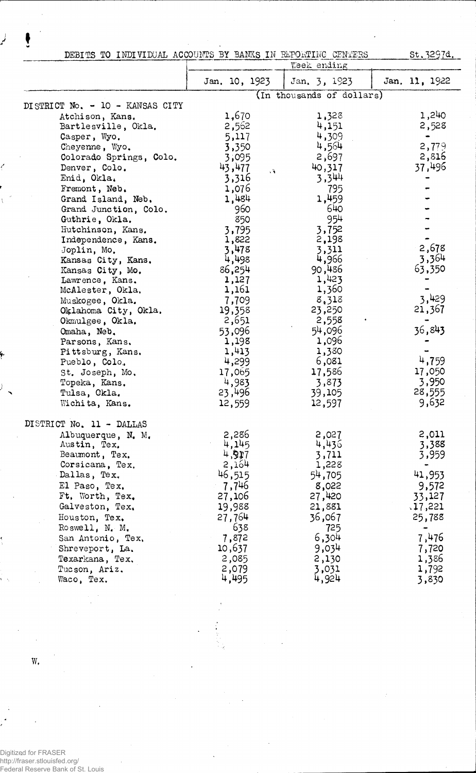| DEBITS TO INDIVIDUAL ACCOUNTS BY BANKS IN REPORTING CENTERS |               |                           | st.3297d.     |
|-------------------------------------------------------------|---------------|---------------------------|---------------|
|                                                             |               | Week ending               |               |
|                                                             | Jan. 10, 1923 | Jan. 3, 1923              | Jan. 11, 1922 |
|                                                             |               | (In thousands of dollars) |               |
| DISTRICT No. - 10 - KANSAS CITY                             |               |                           |               |
| Atchison, Kans.                                             | 1,670         | 1,328                     | 1,240         |
| Bartlesville, Okla.                                         | 2,562         | 4,151                     | 2,528         |
| Casper, Wyo.                                                | 5,117         | 4,309                     | $\bullet$     |
| Cheyenne, Wyo.                                              | 3,350         | 4,564                     | 2,779         |
| Colorado Springs, Colo.                                     | 3,095         | 2,697                     | 2,816         |
| Denver, Colo.                                               | 43,477<br>V.  | 40,317                    | 37,496        |
| Enid, Okla.                                                 | 3,316         | 3,344                     |               |
| Fremont, Neb.                                               | 1,076         | 795                       |               |
| Grand Island, Neb.                                          | 1,484         | 1,459                     |               |
| Grand Junction, Colo.                                       | 960           | 640                       |               |
| Guthrie, Okla.                                              | 850           | 954                       |               |
| Hutchinson, Kans.                                           | 3,795         | 3,752                     |               |
| Independence, Kans.                                         | 1,822         | 2,198                     |               |
| Joplin, Mo.                                                 | 3,478         | 3,311                     | 2,678         |
| Kansas City, Kans.                                          | 4,498         | 4,966                     | 3,364         |
| Kansas City, Mo.                                            | 86,254        | 90,486                    | 63,350        |
| Lawrence, Kans.                                             | 1,127         | 1,423                     |               |
| McAlester, Okla.                                            | 1,161         | 1,360                     |               |
| Muskogee, Okla.                                             | 7,709         | 8,318                     | 3,429         |
| Oklahoma City, Okla.                                        | 19,358        | 23,250                    | 21,367        |
| Okmulgee, Okla.                                             | 2,651         | 2,558                     |               |
| Omaha, Neb.                                                 | 53,096        | 54,096                    | 36,843        |
| Parsons, Kans.                                              | 1,198         | 1,096                     |               |
| Pittsburg, Kans.                                            | 1,413         | 1,380                     |               |
| Pueblo, Colo.                                               | 4,299         | 6,081                     | 4,759         |
| St. Joseph, Mo.                                             | 17,065        | 17,586                    | 17,050        |
| Topeka, Kans.                                               | 4,983         | 3,873                     | 3,950         |
| Tulsa, Ckla.                                                | 23,496        | 39,105                    | 28,555        |
| Wichita, Kans.                                              | 12,559        | 12,597                    | 9,632         |
|                                                             |               |                           |               |
| DISTRICT No. 11 - DALLAS                                    |               |                           |               |
| Albuquerque, N. M.                                          | 2,286         | 2,027                     | 2,011         |
| Austin, Tex.                                                | 4,145         | 4,436                     | 3,388         |
| Beaumont, Tex.                                              | 4,917         | 3,711                     | 3,959         |
| Corsicana, Tex.                                             | 2,164         | 1,228                     | ٠             |
| Dallas, Tex.                                                | 46,515        | 54,705                    | 41,953        |
| El Paso, Tex.                                               | 7,746         | 8,022                     | 9,572         |
| Ft. Worth, Tex.                                             | 27,106        | 27,420                    | 33,127        |
| Galveston, Tex.                                             | 19,988        | 21,881                    | .17,221       |
| Houston, Tex.                                               | 27,764        | 36,067                    | 25,788        |
| Roswell, N. M.                                              | 638           | 725                       |               |
| San Antonio, Tex.                                           | 7,872         | 6,304                     | 7,476         |
| Shreveport, La.                                             | 10,637        | 9,034                     | 7,720         |
| Texarkana, Tex.                                             | 2,085         | 2,130                     | 1,386         |
| Tucson, Ariz.                                               | 2,079         | 3,031                     | 1,792         |
| Waco, Tex.                                                  | 4,495         | 4,924                     | 3,830         |
|                                                             |               |                           |               |

W.

 $\cdot$ 

Digitized for FRASER http://fraser.stlouisfed.org/ Federal Reserve Bank of St. Louis